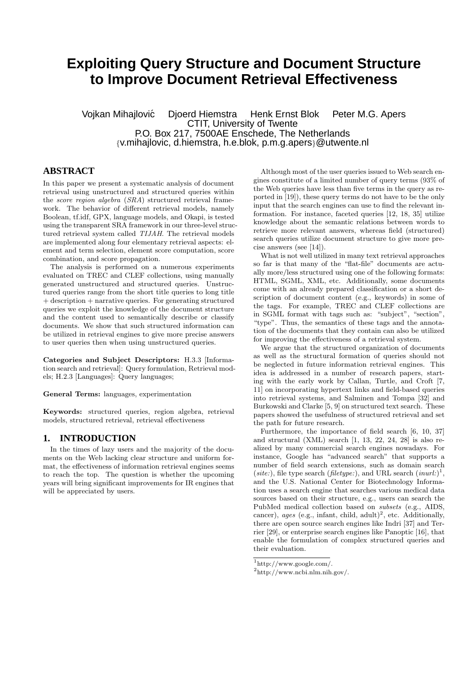# **Exploiting Query Structure and Document Structure to Improve Document Retrieval Effectiveness**

Vojkan Mihajlovic Djoerd Hiemstra Henk Ernst Blok Peter M.G. Apers ´ CTIT, University of Twente P.O. Box 217, 7500AE Enschede, The Netherlands {v.mihajlovic, d.hiemstra, h.e.blok, p.m.g.apers}@utwente.nl

# **ABSTRACT**

In this paper we present a systematic analysis of document retrieval using unstructured and structured queries within the score region algebra (SRA) structured retrieval framework. The behavior of different retrieval models, namely Boolean, tf.idf, GPX, language models, and Okapi, is tested using the transparent SRA framework in our three-level structured retrieval system called TIJAH. The retrieval models are implemented along four elementary retrieval aspects: element and term selection, element score computation, score combination, and score propagation.

The analysis is performed on a numerous experiments evaluated on TREC and CLEF collections, using manually generated unstructured and structured queries. Unstructured queries range from the short title queries to long title + description + narrative queries. For generating structured queries we exploit the knowledge of the document structure and the content used to semantically describe or classify documents. We show that such structured information can be utilized in retrieval engines to give more precise answers to user queries then when using unstructured queries.

Categories and Subject Descriptors: H.3.3 [Information search and retrieval]: Query formulation, Retrieval models; H.2.3 [Languages]: Query languages;

General Terms: languages, experimentation

Keywords: structured queries, region algebra, retrieval models, structured retrieval, retrieval effectiveness

### **1. INTRODUCTION**

In the times of lazy users and the majority of the documents on the Web lacking clear structure and uniform format, the effectiveness of information retrieval engines seems to reach the top. The question is whether the upcoming years will bring significant improvements for IR engines that will be appreciated by users.

Although most of the user queries issued to Web search engines constitute of a limited number of query terms (93% of the Web queries have less than five terms in the query as reported in [19]), these query terms do not have to be the only input that the search engines can use to find the relevant information. For instance, faceted queries [12, 18, 35] utilize knowledge about the semantic relations between words to retrieve more relevant answers, whereas field (structured) search queries utilize document structure to give more precise answers (see [14]).

What is not well utilized in many text retrieval approaches so far is that many of the "flat-file" documents are actually more/less structured using one of the following formats: HTML, SGML, XML, etc. Additionally, some documents come with an already prepared classification or a short description of document content (e.g., keywords) in some of the tags. For example, TREC and CLEF collections are in SGML format with tags such as: "subject", "section", "type". Thus, the semantics of these tags and the annotation of the documents that they contain can also be utilized for improving the effectiveness of a retrieval system.

We argue that the structured organization of documents as well as the structural formation of queries should not be neglected in future information retrieval engines. This idea is addressed in a number of research papers, starting with the early work by Callan, Turtle, and Croft [7, 11] on incorporating hypertext links and field-based queries into retrieval systems, and Salminen and Tompa [32] and Burkowski and Clarke [5, 9] on structured text search. These papers showed the usefulness of structured retrieval and set the path for future research.

Furthermore, the importance of field search [6, 10, 37] and structural (XML) search [1, 13, 22, 24, 28] is also realized by many commercial search engines nowadays. For instance, Google has "advanced search" that supports a number of field search extensions, such as domain search (site:), file type search (filetype:), and URL search  $(inurl.)^1$ , and the U.S. National Center for Biotechnology Information uses a search engine that searches various medical data sources based on their structure, e.g., users can search the PubMed medical collection based on subsets (e.g., AIDS, cancer), ages (e.g., infant, child, adult)<sup>2</sup>, etc. Additionally, there are open source search engines like Indri [37] and Terrier [29], or enterprise search engines like Panoptic [16], that enable the formulation of complex structured queries and their evaluation.

<sup>1</sup> http://www.google.com/.

<sup>2</sup> http://www.ncbi.nlm.nih.gov/.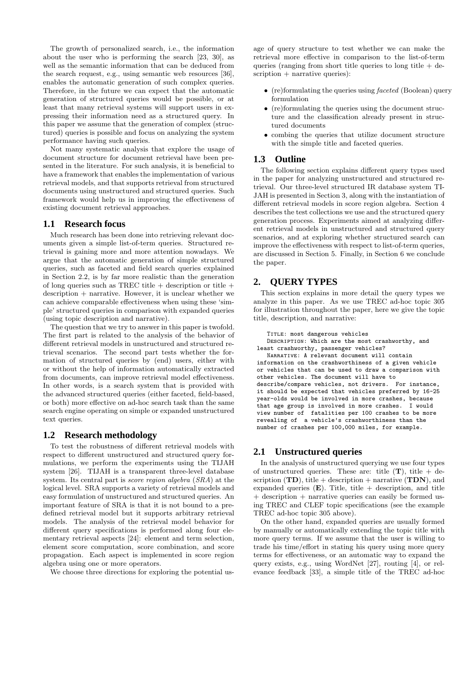The growth of personalized search, i.e., the information about the user who is performing the search [23, 30], as well as the semantic information that can be deduced from the search request, e.g., using semantic web resources [36], enables the automatic generation of such complex queries. Therefore, in the future we can expect that the automatic generation of structured queries would be possible, or at least that many retrieval systems will support users in expressing their information need as a structured query. In this paper we assume that the generation of complex (structured) queries is possible and focus on analyzing the system performance having such queries.

Not many systematic analysis that explore the usage of document structure for document retrieval have been presented in the literature. For such analysis, it is beneficial to have a framework that enables the implementation of various retrieval models, and that supports retrieval from structured documents using unstructured and structured queries. Such framework would help us in improving the effectiveness of existing document retrieval approaches.

### **1.1 Research focus**

Much research has been done into retrieving relevant documents given a simple list-of-term queries. Structured retrieval is gaining more and more attention nowadays. We argue that the automatic generation of simple structured queries, such as faceted and field search queries explained in Section 2.2, is by far more realistic than the generation of long queries such as TREC title  $+$  description or title  $+$ description + narrative. However, it is unclear whether we can achieve comparable effectiveness when using these 'simple' structured queries in comparison with expanded queries (using topic description and narrative).

The question that we try to answer in this paper is twofold. The first part is related to the analysis of the behavior of different retrieval models in unstructured and structured retrieval scenarios. The second part tests whether the formation of structured queries by (end) users, either with or without the help of information automatically extracted from documents, can improve retrieval model effectiveness. In other words, is a search system that is provided with the advanced structured queries (either faceted, field-based, or both) more effective on ad-hoc search task than the same search engine operating on simple or expanded unstructured text queries.

### **1.2 Research methodology**

To test the robustness of different retrieval models with respect to different unstructured and structured query formulations, we perform the experiments using the TIJAH system [26]. TIJAH is a transparent three-level database system. Its central part is score region algebra (SRA) at the logical level. SRA supports a variety of retrieval models and easy formulation of unstructured and structured queries. An important feature of SRA is that it is not bound to a predefined retrieval model but it supports arbitrary retrieval models. The analysis of the retrieval model behavior for different query specifications is performed along four elementary retrieval aspects [24]: element and term selection, element score computation, score combination, and score propagation. Each aspect is implemented in score region algebra using one or more operators.

We choose three directions for exploring the potential us-

age of query structure to test whether we can make the retrieval more effective in comparison to the list-of-term queries (ranging from short title queries to long title  $+$  description + narrative queries):

- (re)formulating the queries using *faceted* (Boolean) query formulation
- (re)formulating the queries using the document structure and the classification already present in structured documents
- combing the queries that utilize document structure with the simple title and faceted queries.

# **1.3 Outline**

The following section explains different query types used in the paper for analyzing unstructured and structured retrieval. Our three-level structured IR database system TI-JAH is presented in Section 3, along with the instantiation of different retrieval models in score region algebra. Section 4 describes the test collections we use and the structured query generation process. Experiments aimed at analyzing different retrieval models in unstructured and structured query scenarios, and at exploring whether structured search can improve the effectiveness with respect to list-of-term queries, are discussed in Section 5. Finally, in Section 6 we conclude the paper.

# **2. QUERY TYPES**

This section explains in more detail the query types we analyze in this paper. As we use TREC ad-hoc topic 305 for illustration throughout the paper, here we give the topic title, description, and narrative:

Title: most dangerous vehicles

DESCRIPTION: Which are the most crashworthy, and least crashworthy, passenger vehicles?

NARRATIVE: A relevant document will contain information on the crashworthiness of a given vehicle or vehicles that can be used to draw a comparison with other vehicles. The document will have to describe/compare vehicles, not drivers. For instance, it should be expected that vehicles preferred by 16-25 year-olds would be involved in more crashes, because that age group is involved in more crashes. I would view number of fatalities per 100 crashes to be more revealing of a vehicle's crashworthiness than the number of crashes per 100,000 miles, for example.

# **2.1 Unstructured queries**

In the analysis of unstructured querying we use four types of unstructured queries. These are: title  $(T)$ , title + description  $(TD)$ , title + description + narrative  $(TDN)$ , and expanded queries  $(E)$ . Title, title + description, and title + description + narrative queries can easily be formed using TREC and CLEF topic specifications (see the example TREC ad-hoc topic 305 above).

On the other hand, expanded queries are usually formed by manually or automatically extending the topic title with more query terms. If we assume that the user is willing to trade his time/effort in stating his query using more query terms for effectiveness, or an automatic way to expand the query exists, e.g., using WordNet [27], routing [4], or relevance feedback [33], a simple title of the TREC ad-hoc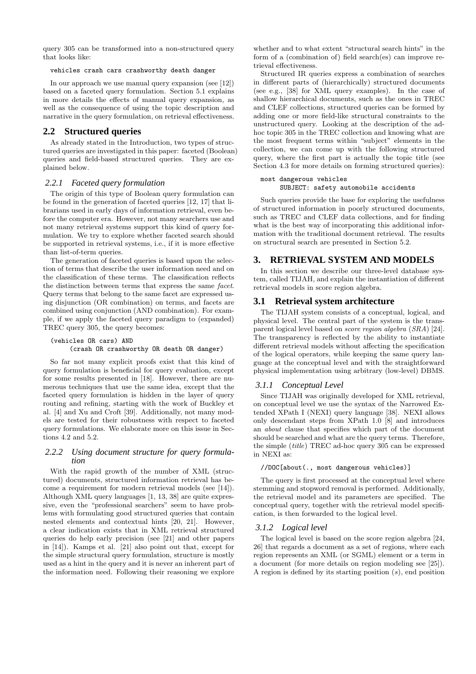query 305 can be transformed into a non-structured query that looks like:

#### vehicles crash cars crashworthy death danger

In our approach we use manual query expansion (see [12]) based on a faceted query formulation. Section 5.1 explains in more details the effects of manual query expansion, as well as the consequence of using the topic description and narrative in the query formulation, on retrieval effectiveness.

### **2.2 Structured queries**

As already stated in the Introduction, two types of structured queries are investigated in this paper: faceted (Boolean) queries and field-based structured queries. They are explained below.

### *2.2.1 Faceted query formulation*

The origin of this type of Boolean query formulation can be found in the generation of faceted queries [12, 17] that librarians used in early days of information retrieval, even before the computer era. However, not many searchers use and not many retrieval systems support this kind of query formulation. We try to explore whether faceted search should be supported in retrieval systems, i.e., if it is more effective than list-of-term queries.

The generation of faceted queries is based upon the selection of terms that describe the user information need and on the classification of these terms. The classification reflects the distinction between terms that express the same facet. Query terms that belong to the same facet are expressed using disjunction (OR combination) on terms, and facets are combined using conjunction (AND combination). For example, if we apply the faceted query paradigm to (expanded) TREC query 305, the query becomes:

#### (vehicles OR cars) AND (crash OR crashworthy OR death OR danger)

So far not many explicit proofs exist that this kind of query formulation is beneficial for query evaluation, except for some results presented in [18]. However, there are numerous techniques that use the same idea, except that the faceted query formulation is hidden in the layer of query routing and refining, starting with the work of Buckley et al. [4] and Xu and Croft [39]. Additionally, not many models are tested for their robustness with respect to faceted query formulations. We elaborate more on this issue in Sections 4.2 and 5.2.

### *2.2.2 Using document structure for query formulation*

With the rapid growth of the number of XML (structured) documents, structured information retrieval has become a requirement for modern retrieval models (see [14]). Although XML query languages [1, 13, 38] are quite expressive, even the "professional searchers" seem to have problems with formulating good structured queries that contain nested elements and contextual hints [20, 21]. However, a clear indication exists that in XML retrieval structured queries do help early precision (see [21] and other papers in [14]). Kamps et al. [21] also point out that, except for the simple structural query formulation, structure is mostly used as a hint in the query and it is never an inherent part of the information need. Following their reasoning we explore whether and to what extent "structural search hints" in the form of a (combination of) field search(es) can improve retrieval effectiveness.

Structured IR queries express a combination of searches in different parts of (hierarchically) structured documents (see e.g., [38] for XML query examples). In the case of shallow hierarchical documents, such as the ones in TREC and CLEF collections, structured queries can be formed by adding one or more field-like structural constraints to the unstructured query. Looking at the description of the adhoc topic 305 in the TREC collection and knowing what are the most frequent terms within "subject" elements in the collection, we can come up with the following structured query, where the first part is actually the topic title (see Section 4.3 for more details on forming structured queries):

#### most dangerous vehicles SUBJECT: safety automobile accidents

Such queries provide the base for exploring the usefulness of structured information in poorly structured documents, such as TREC and CLEF data collections, and for finding what is the best way of incorporating this additional information with the traditional document retrieval. The results on structural search are presented in Section 5.2.

# **3. RETRIEVAL SYSTEM AND MODELS**

In this section we describe our three-level database system, called TIJAH, and explain the instantiation of different retrieval models in score region algebra.

# **3.1 Retrieval system architecture**

The TIJAH system consists of a conceptual, logical, and physical level. The central part of the system is the transparent logical level based on score region algebra (SRA) [24]. The transparency is reflected by the ability to instantiate different retrieval models without affecting the specification of the logical operators, while keeping the same query language at the conceptual level and with the straightforward physical implementation using arbitrary (low-level) DBMS.

# *3.1.1 Conceptual Level*

Since TIJAH was originally developed for XML retrieval, on conceptual level we use the syntax of the Narrowed Extended XPath I (NEXI) query language [38]. NEXI allows only descendant steps from XPath 1.0 [8] and introduces an about clause that specifies which part of the document should be searched and what are the query terms. Therefore, the simple (title) TREC ad-hoc query 305 can be expressed in NEXI as:

### //DOC[about(., most dangerous vehicles)]

The query is first processed at the conceptual level where stemming and stopword removal is performed. Additionally, the retrieval model and its parameters are specified. The conceptual query, together with the retrieval model specification, is then forwarded to the logical level.

### *3.1.2 Logical level*

The logical level is based on the score region algebra [24, 26] that regards a document as a set of regions, where each region represents an XML (or SGML) element or a term in a document (for more details on region modeling see [25]). A region is defined by its starting position  $(s)$ , end position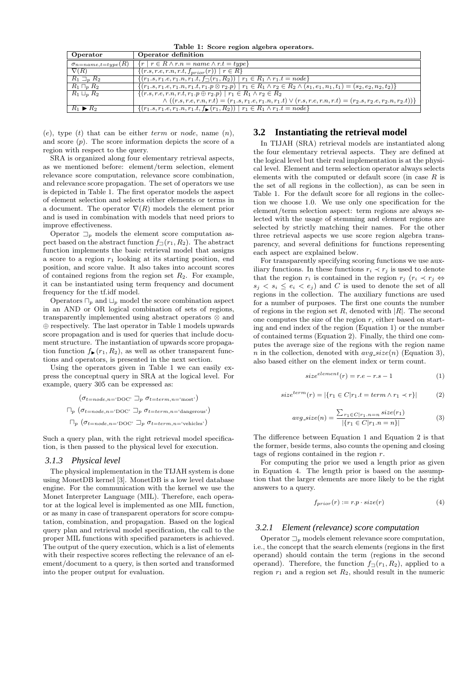Table 1: Score region algebra operators.

| $\{r \mid r \in R \wedge r.n = name \wedge r.t = type\}$<br>$\sigma_{n = name, t = type}(R)$<br>$\nabla(R)$<br>$\{(r.s, r.e, r.n, r.t, f_{prior}(r)) \mid r \in R\}$<br>$\{(r_1,s,r_1,e,r_1.n,r_1.t,f_{\square}(r_1,R_2))   r_1 \in R_1 \wedge r_1.t = node\}$<br>$R_1 \sqsupset_R R_2$ |  |
|-----------------------------------------------------------------------------------------------------------------------------------------------------------------------------------------------------------------------------------------------------------------------------------------|--|
|                                                                                                                                                                                                                                                                                         |  |
|                                                                                                                                                                                                                                                                                         |  |
|                                                                                                                                                                                                                                                                                         |  |
| $\{(r_1,s,r_1,e,r_1,n,r_1,t,r_1,p\otimes r_2,p)   r_1 \in R_1 \wedge r_2 \in R_2 \wedge (s_1,e_1,n_1,t_1)=(s_2,e_2,n_2,t_2)\}\$<br>$R_1 \sqcap_p R_2$                                                                                                                                   |  |
| $\{(r.s, r.e, r.n, r.t, r_1.p \oplus r_2.p) \mid r_1 \in R_1 \land r_2 \in R_2\}$<br>$R_1 \sqcup_p R_2$                                                                                                                                                                                 |  |
| $\wedge ((r.s, r.e, r.n, r.t) = (r_1.s, r_1.e, r_1.n, r_1.t) \vee (r.s, r.e, r.n, r.t) = (r_2.s, r_2.e, r_2.n, r_2.t))$                                                                                                                                                                 |  |
| $\{(r_1.s, r_1.e, r_1.n, r_1.t, f_{\blacktriangleright}(r_1, R_2))   r_1 \in R_1 \land r_1.t = node\}$<br>$R_1 \triangleright R_2$                                                                                                                                                      |  |

 $(e)$ , type  $(t)$  that can be either term or node, name  $(n)$ , and score  $(p)$ . The score information depicts the score of a region with respect to the query.

SRA is organized along four elementary retrieval aspects, as we mentioned before: element/term selection, element relevance score computation, relevance score combination, and relevance score propagation. The set of operators we use is depicted in Table 1. The first operator models the aspect of element selection and selects either elements or terms in a document. The operator  $\nabla(R)$  models the element prior and is used in combination with models that need priors to improve effectiveness.

Operator  $\Box_p$  models the element score computation aspect based on the abstract function  $f_{\square}(r_1, R_2)$ . The abstract function implements the basic retrieval model that assigns a score to a region  $r_1$  looking at its starting position, end position, and score value. It also takes into account scores of contained regions from the region set  $R_2$ . For example, it can be instantiated using term frequency and document frequency for the tf.idf model.

Operators  $\Box_p$  and  $\Box_p$  model the score combination aspect in an AND or OR logical combination of sets of regions, transparently implemented using abstract operators ⊗ and ⊕ respectively. The last operator in Table 1 models upwards score propagation and is used for queries that include document structure. The instantiation of upwards score propagation function  $f_{\blacktriangleright}(r_1, R_2)$ , as well as other transparent functions and operators, is presented in the next section.

Using the operators given in Table 1 we can easily express the conceptual query in SRA at the logical level. For example, query 305 can be expressed as:

$$
(\sigma_{t=node,n=^{^{\mathfrak{t}}\text{DOC'}}} \sqsupseteq_{p} \sigma_{t=term,n=^{^{\mathfrak{t}}\text{most'}}})
$$
  

$$
\sqcap_{p} (\sigma_{t=node,n=^{^{\mathfrak{t}}\text{DOC'}}} \sqsupseteq_{p} \sigma_{t=term,n=^{^{\mathfrak{t}}\text{dangerous'}}})
$$
  

$$
\sqcap_{p} (\sigma_{t=node,n=^{^{\mathfrak{t}}\text{DOC'}}} \sqsupseteq_{p} \sigma_{t=term,n=^{^{\mathfrak{t}}\text{echicles'}}})
$$

Such a query plan, with the right retrieval model specification, is then passed to the physical level for execution.

### *3.1.3 Physical level*

The physical implementation in the TIJAH system is done using MonetDB kernel [3]. MonetDB is a low level database engine. For the communication with the kernel we use the Monet Interpreter Language (MIL). Therefore, each operator at the logical level is implemented as one MIL function, or as many in case of transparent operators for score computation, combination, and propagation. Based on the logical query plan and retrieval model specification, the call to the proper MIL functions with specified parameters is achieved. The output of the query execution, which is a list of elements with their respective scores reflecting the relevance of an element/document to a query, is then sorted and transformed into the proper output for evaluation.

# **3.2 Instantiating the retrieval model**

In TIJAH (SRA) retrieval models are instantiated along the four elementary retrieval aspects. They are defined at the logical level but their real implementation is at the physical level. Element and term selection operator always selects elements with the computed or default score (in case  $R$  is the set of all regions in the collection), as can be seen in Table 1. For the default score for all regions in the collection we choose 1.0. We use only one specification for the element/term selection aspect: term regions are always selected with the usage of stemming and element regions are selected by strictly matching their names. For the other three retrieval aspects we use score region algebra transparency, and several definitions for functions representing each aspect are explained below.

For transparently specifying scoring functions we use auxiliary functions. In these functions  $r_i \prec r_j$  is used to denote that the region  $r_i$  is contained in the region  $r_j$  ( $r_i \prec r_j \Leftrightarrow$  $s_i < s_i \leq e_i < e_j$  and C is used to denote the set of all regions in the collection. The auxiliary functions are used for a number of purposes. The first one counts the number of regions in the region set  $R$ , denoted with  $|R|$ . The second one computes the size of the region  $r$ , either based on starting and end index of the region (Equation 1) or the number of contained terms (Equation 2). Finally, the third one computes the average size of the regions with the region name n in the collection, denoted with  $avg\_size(n)$  (Equation 3), also based either on the element index or term count.

$$
size^{element}(r) = r.e - r.s - 1
$$
 (1)

$$
size^{term}(r) = |\{r_1 \in C | r_1.t = term \land r_1 \prec r\}| \tag{2}
$$

$$
avg.size(n) = \frac{\sum_{r_1 \in C | r_1.n = n} size(r_1)}{|\{r_1 \in C | r_1.n = n\}|}
$$
(3)

The difference between Equation 1 and Equation 2 is that the former, beside terms, also counts the opening and closing tags of regions contained in the region r.

For computing the prior we used a length prior as given in Equation 4. The length prior is based on the assumption that the larger elements are more likely to be the right answers to a query.

$$
f_{prior}(r) := r.p \cdot size(r)
$$
\n<sup>(4)</sup>

#### *3.2.1 Element (relevance) score computation*

Operator  $\Box_p$  models element relevance score computation, i.e., the concept that the search elements (regions in the first operand) should contain the term (regions in the second operand). Therefore, the function  $f_{\square}(r_1, R_2)$ , applied to a region  $r_1$  and a region set  $R_2$ , should result in the numeric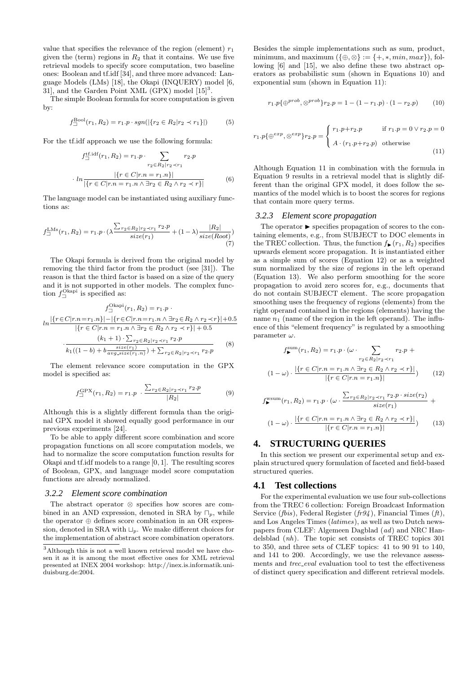value that specifies the relevance of the region (element)  $r_1$ given the (term) regions in  $R_2$  that it contains. We use five retrieval models to specify score computation, two baseline ones: Boolean and tf.idf [34], and three more advanced: Language Models (LMs) [18], the Okapi (INQUERY) model [6, 31, and the Garden Point XML (GPX) model  $[15]^{3}$ .

The simple Boolean formula for score computation is given by:

$$
f_{\Box}^{\text{Bool}}(r_1, R_2) = r_1 \cdot p \cdot sgn(|\{r_2 \in R_2 | r_2 \prec r_1\}|) \tag{5}
$$

For the tf.idf approach we use the following formula:

$$
f_{\square}^{\text{tf.idf}}(r_1, R_2) = r_1 \cdot p \cdot \sum_{r_2 \in R_2 | r_2 \prec r_1} r_2 \cdot p
$$

$$
\cdot \ln \frac{|\{r \in C | r.n = r_1.n\}|}{|\{r \in C | r.n = r_1.n \land \exists r_2 \in R_2 \land r_2 \prec r\}|} \tag{6}
$$

The language model can be instantiated using auxiliary functions as:

$$
f_{\Box}^{\text{LMs}}(r_1, R_2) = r_1 \cdot p \cdot \left(\lambda \frac{\sum_{r_2 \in R_2 | r_2 \prec r_1} r_2 \cdot p}{size(r_1)} + (1 - \lambda) \frac{|R_2|}{size(Root)}\right) \tag{7}
$$

The Okapi formula is derived from the original model by removing the third factor from the product (see [31]). The reason is that the third factor is based on a size of the query and it is not supported in other models. The complex function  $f_{\Box}^{\text{Okapi}}$  is specified as:

$$
f_{\Box}^{\text{Okapi}}(r_1, R_2) = r_1 \cdot p
$$

$$
ln \frac{|\{r \in C | r.n = r_1.n\}| - |\{r \in C | r.n = r_1.n \land \exists r_2 \in R_2 \land r_2 \prec r\}| + 0.5}{|\{r \in C | r.n = r_1.n \land \exists r_2 \in R_2 \land r_2 \prec r\}| + 0.5}
$$

$$
\cdot \frac{(k_1 + 1) \cdot \sum_{r_2 \in R_2 | r_2 \prec r_1} r_2 \cdot p}{k_1((1 - b) + b \frac{size(r_1)}{avg\_size(r_1.n)}) + \sum_{r_2 \in R_2 | r_2 \prec r_1} r_2 \cdot p}
$$
(8)

The element relevance score computation in the GPX model is specified as:

$$
f_{\square}^{\text{GPX}}(r_1, R_2) = r_1 \cdot p \cdot \frac{\sum_{r_2 \in R_2 | r_2 \prec r_1} r_2 \cdot p}{|R_2|}
$$
(9)

Although this is a slightly different formula than the original GPX model it showed equally good performance in our previous experiments [24].

To be able to apply different score combination and score propagation functions on all score computation models, we had to normalize the score computation function results for Okapi and tf.idf models to a range [0, 1]. The resulting scores of Boolean, GPX, and language model score computation functions are already normalized.

### *3.2.2 Element score combination*

The abstract operator ⊗ specifies how scores are combined in an AND expression, denoted in SRA by  $\Box_p$ , while the operator ⊕ defines score combination in an OR expression, denoted in SRA with  $\Box_p$ . We make different choices for the implementation of abstract score combination operators.

Besides the simple implementations such as sum, product, minimum, and maximum  $({\oplus,\otimes} := {\{+,*,min,max\}})$ , following [6] and [15], we also define these two abstract operators as probabilistic sum (shown in Equations 10) and exponential sum (shown in Equation 11):

$$
r_1 \cdot p\{\oplus^{prob}, \otimes^{prob}\} r_2 \cdot p = 1 - (1 - r_1 \cdot p) \cdot (1 - r_2 \cdot p) \tag{10}
$$

$$
r_1 \cdot p\{\oplus^{exp}, \otimes^{exp}\} r_2 \cdot p = \begin{cases} r_1 \cdot p + r_2 \cdot p & \text{if } r_1 \cdot p = 0 \lor r_2 \cdot p = 0 \\ A \cdot (r_1 \cdot p + r_2 \cdot p) & \text{otherwise} \end{cases}
$$
(11)

Although Equation 11 in combination with the formula in Equation 9 results in a retrieval model that is slightly different than the original GPX model, it does follow the semantics of the model which is to boost the scores for regions that contain more query terms.

#### *3.2.3 Element score propagation*

The operator  $\blacktriangleright$  specifies propagation of scores to the containing elements, e.g., from SUBJECT to DOC elements in the TREC collection. Thus, the function  $f_{\blacktriangleright}(r_1, R_2)$  specifies upwards element score propagation. It is instantiated either as a simple sum of scores (Equation 12) or as a weighted sum normalized by the size of regions in the left operand (Equation 13). We also perform smoothing for the score propagation to avoid zero scores for, e.g., documents that do not contain SUBJECT element. The score propagation smoothing uses the frequency of regions (elements) from the right operand contained in the regions (elements) having the name  $n_1$  (name of the region in the left operand). The influence of this "element frequency" is regulated by a smoothing parameter  $\omega$ .

$$
f_{\blacktriangleright}^{\text{sum}}(r_1, R_2) = r_1 \cdot p \cdot (\omega \cdot \sum_{r_2 \in R_2 | r_2 \prec r_1} r_2 \cdot p +
$$
  

$$
(1 - \omega) \cdot \frac{|\{r \in C | r.n = r_1.n \land \exists r_2 \in R_2 \land r_2 \prec r\}|}{|\{r \in C | r.n = r_1.n\}|})
$$
(12)

$$
f_{\blacktriangleright}^{\text{wsum}}(r_1, R_2) = r_1 \cdot p \cdot (\omega \cdot \frac{\sum_{r_2 \in R_2 | r_2 \prec r_1} r_2 \cdot p \cdot size(r_2)}{size(r_1)} +
$$

$$
(1 - \omega) \cdot \frac{|\{r \in C | r.n = r_1.n \land \exists r_2 \in R_2 \land r_2 \prec r\}|}{|\{r \in C | r.n = r_1.n\}|}) \tag{13}
$$

# **4. STRUCTURING QUERIES**

In this section we present our experimental setup and explain structured query formulation of faceted and field-based structured queries.

### **4.1 Test collections**

For the experimental evaluation we use four sub-collections from the TREC 6 collection: Foreign Broadcast Information Service (*fbis*), Federal Register (*fr94*), Financial Times (*ft*), and Los Angeles Times (latimes), as well as two Dutch newspapers from CLEF: Algemeen Dagblad (ad) and NRC Handelsblad (nh). The topic set consists of TREC topics 301 to 350, and three sets of CLEF topics: 41 to 90 91 to 140, and 141 to 200. Accordingly, we use the relevance assessments and trec eval evaluation tool to test the effectiveness of distinct query specification and different retrieval models.

 $^3\mbox{Although this is not a well known retrieval model we have cho-}$ sen it as it is among the most effective ones for XML retrieval presented at INEX 2004 workshop: http://inex.is.informatik.uniduisburg.de:2004.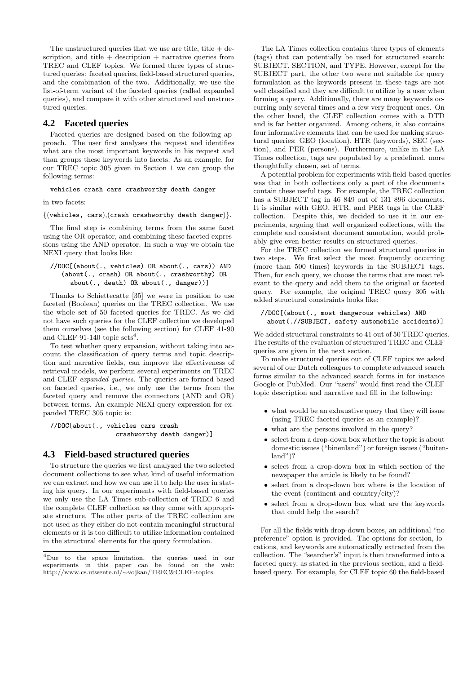The unstructured queries that we use are title, title  $+$  description, and title  $+$  description  $+$  narrative queries from TREC and CLEF topics. We formed three types of structured queries: faceted queries, field-based structured queries, and the combination of the two. Additionally, we use the list-of-term variant of the faceted queries (called expanded queries), and compare it with other structured and unstructured queries.

# **4.2 Faceted queries**

Faceted queries are designed based on the following approach. The user first analyses the request and identifies what are the most important keywords in his request and than groups these keywords into facets. As an example, for our TREC topic 305 given in Section 1 we can group the following terms:

vehicles crash cars crashworthy death danger

in two facets:

 $\{(v_{\text{ehicles}, cars), (crash crashworthy death danger)}\}.$ 

The final step is combining terms from the same facet using the OR operator, and combining these faceted expressions using the AND operator. In such a way we obtain the NEXI query that looks like:

### //DOC[(about(., vehicles) OR about(., cars)) AND (about(., crash) OR about(., crashworthy) OR about(., death) OR about(., danger))]

Thanks to Schiettecatte [35] we were in position to use faceted (Boolean) queries on the TREC collection. We use the whole set of 50 faceted queries for TREC. As we did not have such queries for the CLEF collection we developed them ourselves (see the following section) for CLEF 41-90 and CLEF 91-140 topic sets<sup>4</sup>.

To test whether query expansion, without taking into account the classification of query terms and topic description and narrative fields, can improve the effectiveness of retrieval models, we perform several experiments on TREC and CLEF expanded queries. The queries are formed based on faceted queries, i.e., we only use the terms from the faceted query and remove the connectors (AND and OR) between terms. An example NEXI query expression for expanded TREC 305 topic is:

//DOC[about(., vehicles cars crash crashworthy death danger)]

# **4.3 Field-based structured queries**

To structure the queries we first analyzed the two selected document collections to see what kind of useful information we can extract and how we can use it to help the user in stating his query. In our experiments with field-based queries we only use the LA Times sub-collection of TREC 6 and the complete CLEF collection as they come with appropriate structure. The other parts of the TREC collection are not used as they either do not contain meaningful structural elements or it is too difficult to utilize information contained in the structural elements for the query formulation.

The LA Times collection contains three types of elements (tags) that can potentially be used for structured search: SUBJECT, SECTION, and TYPE. However, except for the SUBJECT part, the other two were not suitable for query formulation as the keywords present in these tags are not well classified and they are difficult to utilize by a user when forming a query. Additionally, there are many keywords occurring only several times and a few very frequent ones. On the other hand, the CLEF collection comes with a DTD and is far better organized. Among others, it also contains four informative elements that can be used for making structural queries: GEO (location), HTR (keywords), SEC (section), and PER (persons). Furthermore, unlike in the LA Times collection, tags are populated by a predefined, more thoughtfully chosen, set of terms.

A potential problem for experiments with field-based queries was that in both collections only a part of the documents contain these useful tags. For example, the TREC collection has a SUBJECT tag in 46 849 out of 131 896 documents. It is similar with GEO, HTR, and PER tags in the CLEF collection. Despite this, we decided to use it in our experiments, arguing that well organized collections, with the complete and consistent document annotation, would probably give even better results on structured queries.

For the TREC collection we formed structural queries in two steps. We first select the most frequently occurring (more than 500 times) keywords in the SUBJECT tags. Then, for each query, we choose the terms that are most relevant to the query and add them to the original or faceted query. For example, the original TREC query 305 with added structural constraints looks like:

#### //DOC[(about(., most dangerous vehicles) AND about(.//SUBJECT, safety automobile accidents)]

We added structural constraints to 41 out of 50 TREC queries. The results of the evaluation of structured TREC and CLEF queries are given in the next section.

To make structured queries out of CLEF topics we asked several of our Dutch colleagues to complete advanced search forms similar to the advanced search forms in for instance Google or PubMed. Our "users" would first read the CLEF topic description and narrative and fill in the following:

- what would be an exhaustive query that they will issue (using TREC faceted queries as an example)?
- what are the persons involved in the query?
- select from a drop-down box whether the topic is about domestic issues ("binenland") or foreign issues ("buitenland")?
- select from a drop-down box in which section of the newspaper the article is likely to be found?
- select from a drop-down box where is the location of the event (continent and country/city)?
- select from a drop-down box what are the keywords that could help the search?

For all the fields with drop-down boxes, an additional "no preference" option is provided. The options for section, locations, and keywords are automatically extracted from the collection. The "searcher's" input is then transformed into a faceted query, as stated in the previous section, and a fieldbased query. For example, for CLEF topic 60 the field-based

<sup>4</sup>Due to the space limitation, the queries used in our experiments in this paper can be found on the web: http://www.cs.utwente.nl/∼vojkan/TREC&CLEF-topics.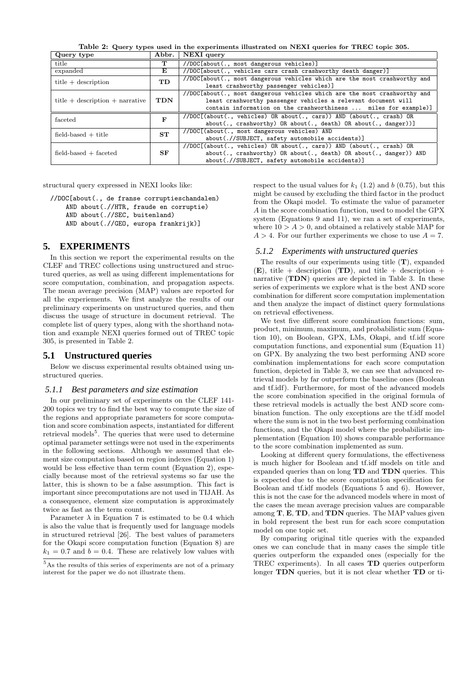Table 2: Query types used in the experiments illustrated on NEXI queries for TREC topic 305.

| Query type                          | Abbr.        | NEXI query                                                                |  |  |  |  |  |
|-------------------------------------|--------------|---------------------------------------------------------------------------|--|--|--|--|--|
| title                               | т            | //DOC[about(., most dangerous vehicles)]                                  |  |  |  |  |  |
| expanded                            | Е            | //DOC[about(., vehicles cars crash crashworthy death danger)]             |  |  |  |  |  |
| $title + description$               | TD           | //DOC[about(., most dangerous vehicles which are the most crashworthy and |  |  |  |  |  |
|                                     |              | least crashworthy passenger vehicles)]                                    |  |  |  |  |  |
|                                     |              | //DOC[about(., most dangerous vehicles which are the most crashworthy and |  |  |  |  |  |
| title $+$ description $+$ narrative | <b>TDN</b>   | least crashworthy passenger vehicles a relevant document will             |  |  |  |  |  |
|                                     |              | contain information on the crashworthiness  miles for example)]           |  |  |  |  |  |
| faceted                             | $\mathbf{F}$ | //DOC[(about(., vehicles) OR about(., cars)) AND (about(., crash) OR      |  |  |  |  |  |
|                                     |              | $about(., crashworthy)$ OR $about(., death)$ OR $about(., danger))$       |  |  |  |  |  |
| $field$ -based $+$ title            | ST           | //DOC[(about(., most dangerous vehicles) AND                              |  |  |  |  |  |
|                                     |              | about(.//SUBJECT, safety automobile accidents)]                           |  |  |  |  |  |
|                                     | SF           | //DOC[(about(., vehicles) OR about(., cars)) AND (about(., crash) OR      |  |  |  |  |  |
| $field-based + faceted$             |              | about(., crashworthy) OR about(., death) OR about(., danger)) AND         |  |  |  |  |  |
|                                     |              | about(.//SUBJECT, safety automobile accidents)]                           |  |  |  |  |  |

structural query expressed in NEXI looks like:

//DOC[about(., de franse corruptieschandalen) AND about(.//HTR, fraude en corruptie) AND about(.//SEC, buitenland) AND about(.//GEO, europa frankrijk)]

# **5. EXPERIMENTS**

In this section we report the experimental results on the CLEF and TREC collections using unstructured and structured queries, as well as using different implementations for score computation, combination, and propagation aspects. The mean average precision (MAP) values are reported for all the experiements. We first analyze the results of our preliminary experiments on unstructured queries, and then discuss the usage of structure in document retrieval. The complete list of query types, along with the shorthand notation and example NEXI queries formed out of TREC topic 305, is presented in Table 2.

# **5.1 Unstructured queries**

Below we discuss experimental results obtained using unstructured queries.

#### *5.1.1 Best parameters and size estimation*

In our preliminary set of experiments on the CLEF 141- 200 topics we try to find the best way to compute the size of the regions and appropriate parameters for score computation and score combination aspects, instantiated for different retrieval models<sup>5</sup>. The queries that were used to determine optimal parameter settings were not used in the experiments in the following sections. Although we assumed that element size computation based on region indexes (Equation 1) would be less effective than term count (Equation 2), especially because most of the retrieval systems so far use the latter, this is shown to be a false assumption. This fact is important since precomputations are not used in TIJAH. As a consequence, element size computation is approximately twice as fast as the term count.

Parameter  $\lambda$  in Equation 7 is estimated to be 0.4 which is also the value that is frequently used for language models in structured retrieval [26]. The best values of parameters for the Okapi score computation function (Equation 8) are  $k_1 = 0.7$  and  $b = 0.4$ . These are relatively low values with respect to the usual values for  $k_1$  (1.2) and b (0.75), but this might be caused by excluding the third factor in the product from the Okapi model. To estimate the value of parameter A in the score combination function, used to model the GPX system (Equations 9 and 11), we ran a set of experiments, where  $10 > A > 0$ , and obtained a relatively stable MAP for  $A > 4$ . For our further experiments we chose to use  $A = 7$ .

#### *5.1.2 Experiments with unstructured queries*

The results of our experiments using title (T), expanded  $(E)$ , title + description  $(TD)$ , and title + description + narrative  $(TDN)$  queries are depicted in Table 3. In these series of experiments we explore what is the best AND score combination for different score computation implementation and then analyze the impact of distinct query formulations on retrieval effectiveness.

We test five different score combination functions: sum, product, minimum, maximum, and probabilistic sum (Equation 10), on Boolean, GPX, LMs, Okapi, and tf.idf score computation functions, and exponential sum (Equation 11) on GPX. By analyzing the two best performing AND score combination implementations for each score computation function, depicted in Table 3, we can see that advanced retrieval models by far outperform the baseline ones (Boolean and tf.idf). Furthermore, for most of the advanced models the score combination specified in the original formula of these retrieval models is actually the best AND score combination function. The only exceptions are the tf.idf model where the sum is not in the two best performing combination functions, and the Okapi model where the probabilistic implementation (Equation 10) shows comparable performance to the score combination implemented as sum.

Looking at different query formulations, the effectiveness is much higher for Boolean and tf.idf models on title and expanded queries than on long TD and TDN queries. This is expected due to the score computation specification for Boolean and tf.idf models (Equations 5 and 6). However, this is not the case for the advanced models where in most of the cases the mean average precision values are comparable among  $T$ ,  $E$ ,  $TD$ , and  $TDN$  queries. The MAP values given in bold represent the best run for each score computation model on one topic set.

By comparing original title queries with the expanded ones we can conclude that in many cases the simple title queries outperform the expanded ones (especially for the TREC experiments). In all cases TD queries outperform longer TDN queries, but it is not clear whether TD or ti-

 $5As$  the results of this series of experiments are not of a primary interest for the paper we do not illustrate them.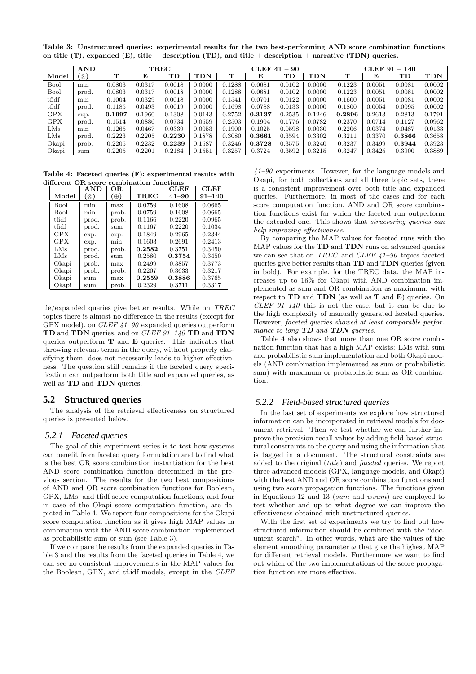Table 3: Unstructured queries: experimental results for the two best-performing AND score combination functions on title (T), expanded (E), title + description (TD), and title + description + narrative (TDN) queries.

|            | AND   | $_{\rm TREC}$ |        |             |            | ${\rm CLEF}$<br>$-90$<br>41 |        |             |            | CLEF 91<br>140<br>$\overline{\phantom{m}}$ |        |        |        |
|------------|-------|---------------|--------|-------------|------------|-----------------------------|--------|-------------|------------|--------------------------------------------|--------|--------|--------|
| Model      | (⊗)   | $\mathbf T$   | Е      | $_{\rm TD}$ | <b>TDN</b> | т                           | Е      | $_{\rm TD}$ | <b>TDN</b> | т                                          | Е      | TD     | TDN    |
| Bool       | min   | 0.0803        | 0.0317 | 0.0018      | 0.0000     | 0.1288                      | 0.0681 | 0.0102      | 0.0000     | 0.1223                                     | 0.0051 | 0.0081 | 0.0002 |
| Bool       | prod. | 0.0803        | 0.0317 | 0.0018      | 0.0000     | 0.1288                      | 0.0681 | 0.0102      | 0.0000     | 0.1223                                     | 0.0051 | 0.0081 | 0.0002 |
| tfidf      | min   | 0.1004        | 0.0329 | 0.0018      | 0.0000     | 0.1541                      | 0.0701 | 0.0122      | 0.0000     | 0.1600                                     | 0.0051 | 0.0081 | 0.0002 |
| tfidf      | prod. | 0.1185        | 0.0493 | 0.0019      | 0.0000     | 0.1698                      | 0.0788 | 0.0133      | 0.0000     | 0.1800                                     | 0.0054 | 0.0095 | 0.0002 |
| GPX        | exp.  | 0.1997        | 0.1960 | 0.1308      | 0.0143     | 0.2752                      | 0.3137 | 0.2535      | 0.1246     | 0.2896                                     | 0.2613 | 0.2813 | 0.1791 |
| <b>GPX</b> | prod. | 0.1514        | 0.0886 | 0.0734      | 0.0559     | 0.2503                      | 0.1904 | 0.1776      | 0.0782     | 0.2370                                     | 0.0714 | 0.1127 | 0.0962 |
| LMs        | min   | 0.1265        | 0.0467 | 0.0339      | 0.0053     | 0.1900                      | 0.1025 | 0.0598      | 0.0030     | 0.2206                                     | 0.0374 | 0.0487 | 0.0133 |
| LMs        | prod. | 0.2223        | 0.2205 | 0.2230      | 0.1878     | 0.3080                      | 0.3661 | 0.3594      | 0.3302     | 0.3211                                     | 0.3370 | 0.3866 | 0.3658 |
| Okapi      | prob. | 0.2205        | 0.2232 | 0.2239      | 0.1587     | 0.3246                      | 0.3728 | 0.3575      | 0.3240     | 0.3237                                     | 0.3499 | 0.3944 | 0.3923 |
| Okapi      | sum   | 0.2205        | 0.2201 | 0.2184      | 0.1551     | 0.3257                      | 0.3724 | 0.3592      | 0.3215     | 0.3247                                     | 0.3425 | 0.3900 | 0.3889 |

Table 4: Faceted queries (F): experimental results with different OR score combination functions.

|                         | <b>AND</b>  | OR.        |             | <b>CLEF</b> | <b>CLEF</b> |
|-------------------------|-------------|------------|-------------|-------------|-------------|
| Model                   | $(\otimes)$ | $(\oplus)$ | <b>TREC</b> | $41 - 90$   | $91 - 140$  |
| Bool                    | min         | max        | 0.0759      | 0.1608      | 0.0665      |
| Bool                    | min         | prob.      | 0.0759      | 0.1608      | 0.0665      |
| $t$ fidf                | prod.       | prob.      | 0.1166      | 0.2220      | 0.0965      |
| tfidf                   | prod.       | sum        | 0.1167      | 0.2220      | 0.1034      |
| GPX                     | exp.        | exp.       | 0.1849      | 0.2965      | 0.2344      |
| GPX                     | exp.        | mın        | 0.1603      | 0.2691      | 0.2413      |
| $\overline{\text{LMs}}$ | prod.       | prob.      | 0.2582      | 0.3751      | 0.3450      |
| LMs                     | prod.       | sum        | 0.2580      | 0.3754      | 0.3450      |
| Okapi                   | prob.       | max        | 0.2499      | 0.3857      | 0.3773      |
| Okapi                   | prob.       | prob.      | 0.2207      | 0.3633      | 0.3217      |
| Okapi                   | sum         | max        | 0.2559      | 0.3886      | 0.3765      |
| Okapi                   | sum         | prob.      | 0.2329      | 0.3711      | 0.3317      |

tle/expanded queries give better results. While on TREC topics there is almost no difference in the results (except for GPX model), on CLEF 41–90 expanded queries outperform TD and TDN queries, and on CLEF 91–140 TD and TDN queries outperform  $T$  and  $E$  queries. This indicates that throwing relevant terms in the query, without properly classifying them, does not necessarily leads to higher effectiveness. The question still remains if the faceted query specification can outperform both title and expanded queries, as well as TD and TDN queries.

# **5.2 Structured queries**

The analysis of the retrieval effectiveness on structured queries is presented below.

### *5.2.1 Faceted queries*

The goal of this experiment series is to test how systems can benefit from faceted query formulation and to find what is the best OR score combination instantiation for the best AND score combination function determined in the previous section. The results for the two best compositions of AND and OR score combination functions for Boolean, GPX, LMs, and tfidf score computation functions, and four in case of the Okapi score computation function, are depicted in Table 4. We report four compositions for the Okapi score computation function as it gives high MAP values in combination with the AND score combination implemented as probabilistic sum or sum (see Table 3).

If we compare the results from the expanded queries in Table 3 and the results from the faceted queries in Table 4, we can see no consistent improvements in the MAP values for the Boolean, GPX, and tf.idf models, except in the CLEF

 $41-90$  experiments. However, for the language models and Okapi, for both collections and all three topic sets, there is a consistent improvement over both title and expanded queries. Furthermore, in most of the cases and for each score computation function, AND and OR score combination functions exist for which the faceted run outperform the extended one. This shows that structuring queries can help improving effectiveness.

By comparing the MAP values for faceted runs with the MAP values for the TD and TDN runs on advanced queries we can see that on TREC and CLEF  $41-90$  topics faceted queries give better results than TD and TDN queries (given in bold). For example, for the TREC data, the MAP increases up to 16% for Okapi with AND combination implemented as sum and OR combination as maximum, with respect to  $TD$  and  $TDN$  (as well as  $T$  and  $E$ ) queries. On CLEF  $91-140$  this is not the case, but it can be due to the high complexity of manually generated faceted queries. However, faceted queries showed at least comparable performance to long **TD** and **TDN** queries.

Table 4 also shows that more than one OR score combination function that has a high MAP exists: LMs with sum and probabilistic sum implementation and both Okapi models (AND combination implemented as sum or probabilistic sum) with maximum or probabilistic sum as OR combination.

# *5.2.2 Field-based structured queries*

In the last set of experiments we explore how structured information can be incorporated in retrieval models for document retrieval. Then we test whether we can further improve the precision-recall values by adding field-based structural constraints to the query and using the information that is tagged in a document. The structural constraints are added to the original (title) and faceted queries. We report three advanced models (GPX, language models, and Okapi) with the best AND and OR score combination functions and using two score propagation functions. The functions given in Equations 12 and 13 (sum and wsum) are employed to test whether and up to what degree we can improve the effectiveness obtained with unstructured queries.

With the first set of experiments we try to find out how structured information should be combined with the "document search". In other words, what are the values of the element smoothing parameter  $\omega$  that give the highest MAP for different retrieval models. Furthermore we want to find out which of the two implementations of the score propagation function are more effective.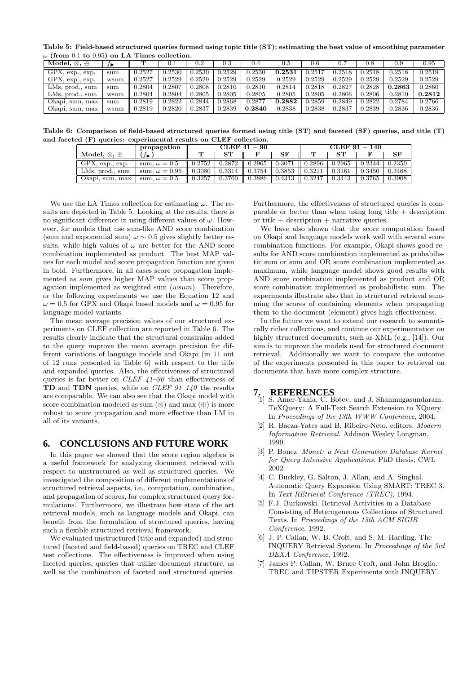Table 5: Field-based structured queries formed using topic title (ST): estimating the best value of smoothing parameter  $\omega$  (from 0.1 to 0.95) on LA Times collection.

| $\overline{\text{Model}}, \otimes, \oplus$ | J D  |        | 0.1    | $\rm 0.2$ | $\rm 0.3$ | 0.4    | 0.5    | 0.6    |        | 0.8    | 0.9    | $\rm 0.95$ |
|--------------------------------------------|------|--------|--------|-----------|-----------|--------|--------|--------|--------|--------|--------|------------|
| $GPX$ , $exp.$ , $exp.$                    | sum  | 0.2527 | 0.2530 | 0.2530    | 0.2529    | 0.2530 | 0.2531 | 0.251  | 0.2518 | 0.2518 | 0.2518 | 0.2519     |
| $GPX$ , $exp.$ , $exp.$                    | wsum | 0.2527 | 0.2529 | 0.2529    | 0.2529    | 0.2529 | 0.2529 | 0.2529 | 0.2529 | 0.2529 | 0.2529 | 0.2529     |
| LMs, prod., sum                            | sum  | 0.2804 | J.2807 | 0.2808    | 0.2810    | 0.2810 | 0.2814 | 0.2818 | 0.2827 | 0.2828 | 0.2863 | 0.2860     |
| LMs, prod., sum                            | wsum | 0.2804 | 0.2804 | 0.2805    | 0.2805    | 0.2805 | 0.2805 | 0.2805 | 0.2806 | 0.2806 | 0.2810 | 0.2812     |
| Okapi, sum, max                            | sum  | 0.2819 | 0.2822 | 0.2844    | 0.2868    | 0.2877 | 0.2882 | 0.2859 | 0.2849 | 0.2822 | 0.2784 | 0.2766     |
| Okapi, sum, max                            | wsum | 0.2819 | 1.2820 | 0.2837    | 0.2839    | 0.2840 | 0.2838 | 0.2838 | 0.2837 | 0.2839 | 0.2836 | 0.2836     |

Table 6: Comparison of field-based structured queries formed using title (ST) and faceted (SF) queries, and title (T) and faceted (F) queries: experimental results on CLEF collection.

|                             | propagation          |        |        | $CLEF 41 - 90$ |           | CLEF 91 - 140 |        |        |        |  |
|-----------------------------|----------------------|--------|--------|----------------|-----------|---------------|--------|--------|--------|--|
| Model, $\otimes$ , $\oplus$ |                      | ௱      | ST     |                | $\rm{SF}$ |               |        |        | SF     |  |
| $GPX$ , $exp.$ , $exp.$     | sum, $\omega = 0.5$  | 0.2752 | 0.2872 | 0.2965         | $0.307\,$ | 0.2896        | 0.2965 | 0.2344 | 0.2350 |  |
| LMs, prod., sum             | sum, $\omega = 0.95$ | 0.3080 | 0.3314 | 0.3754         | 0.3853    | 0.3211        | 0.3161 | 0.3450 | 0.3468 |  |
| Okapi, sum, max             | sum, $\omega = 0.5$  | 0.3257 | 0.3760 | 0.3886         | 0.4313    | 0.3247        | 0.3443 | 0.3765 | 0.3908 |  |

We use the LA Times collection for estimating  $\omega$ . The results are depicted in Table 5. Looking at the results, there is no significant difference in using different values of  $\omega$ . However, for models that use sum-like AND score combination (sum and exponential sum)  $\omega \sim 0.5$  gives slightly better results, while high values of  $\omega$  are better for the AND score combination implemented as product. The best MAP values for each model and score propagation function are given in bold. Furthermore, in all cases score propagation implemented as sum gives higher MAP values than score propagation implemented as weighted sum (wsum). Therefore, or the following experiments we use the Equation 12 and  $\omega = 0.5$  for GPX and Okapi based models and  $\omega = 0.95$  for language model variants.

The mean average precision values of our structured experiments on CLEF collection are reported in Table 6. The results clearly indicate that the structural constrains added to the query improve the mean average precision for different variations of language models and Okapi (in 11 out of 12 runs presented in Table 6) with respect to the title and expanded queries. Also, the effectiveness of structured queries is far better on *CLEF 41–90* than effectiveness of **TD** and **TDN** queries, while on *CLEF*  $91-140$  the results are comparable. We can also see that the Okapi model with score combination modeled as sum  $(\otimes)$  and max  $(\oplus)$  is more robust to score propagation and more effective than LM in all of its variants.

# **6. CONCLUSIONS AND FUTURE WORK**

In this paper we showed that the score region algebra is a useful framework for analyzing document retrieval with respect to unstructured as well as structured queries. We investigated the composition of different implementations of structured retrieval aspects, i.e., computation, combination, and propagation of scores, for complex structured query formulations. Furthermore, we illustrate how state of the art retrieval models, such as language models and Okapi, can benefit from the formulation of structured queries, having such a flexible structured retrieval framework.

We evaluated unstructured (title and expanded) and structured (faceted and field-based) queries on TREC and CLEF test collections. The effectiveness is improved when using faceted queries, queries that utilize document structure, as well as the combination of faceted and structured queries.

Furthermore, the effectiveness of structured queries is comparable or better than when using long title  $+$  description or title  $+$  description  $+$  narrative queries.

We have also shown that the score computation based on Okapi and language models work well with several score combination functions. For example, Okapi shows good results for AND score combination implemented as probabilistic sum or sum and OR score combination implemented as maximum, while language model shows good results with AND score combination implemented as product and OR score combination implemented as probabilistic sum. The experiments illustrate also that in structured retrieval summing the scores of containing elements when propagating them to the document (element) gives high effectiveness.

In the future we want to extend our research to semantically richer collections, and continue our experimentation on highly structured documents, such as XML (e.g., [14]). Our aim is to improve the models used for structured document retrieval. Additionally we want to compare the outcome of the experiments presented in this paper to retrieval on documents that have more complex structure.

### **7. REFERENCES**

- [1] S. Amer-Yahia, C. Botev, and J. Shanmugasundaram. TeXQuery: A Full-Text Search Extension to XQuery. In Proceedings of the 13th WWW Conference, 2004.
- [2] R. Baeza-Yates and B. Ribeiro-Neto, editors. Modern Information Retrieval. Addison Wesley Longman, 1999.
- [3] P. Boncz. Monet: a Next Generation Database Kernel for Query Intensive Applications. PhD thesis, CWI, 2002.
- [4] C. Buckley, G. Salton, J. Allan, and A. Singhal. Automatic Query Expansion Using SMART: TREC 3. In Text REtrieval Conference (TREC), 1994.
- [5] F.J. Burkowski. Retrieval Activities in a Database Consisting of Heterogeneous Collections of Structured Texts. In Proceedings of the 15th ACM SIGIR Conference, 1992.
- [6] J. P. Callan, W. B. Croft, and S. M. Harding. The INQUERY Retrieval System. In Proceedings of the 3rd DEXA Conference, 1992.
- [7] James P. Callan, W. Bruce Croft, and John Broglio. TREC and TIPSTER Experiments with INQUERY.